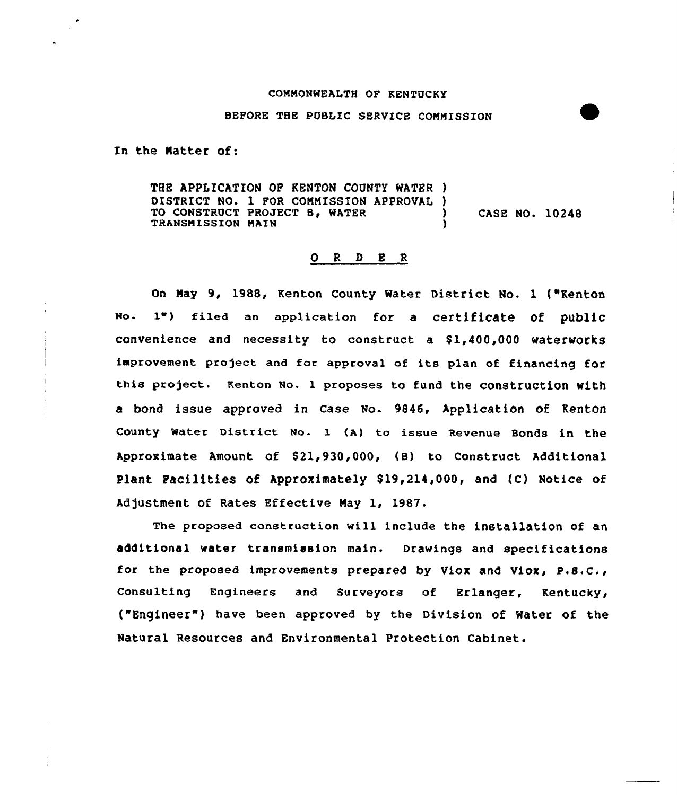#### COMMONWEALTH OF KENTUCKY

#### BEPORE THE PUBLIC SERVICE COMMISSION

In the Natter of:

THE APPLICATION OF KENTON COUNTY WATER ) DISTRICT NO. 1 FOR COMMISSION APPROVAL )<br>TO CONSTRUCT PROJECT B. WATER TO CONSTRUCT PROJECT B, WATER (2008) CASE NO. 10248 TRANSMISSION MAIN )

# 0 <sup>R</sup> <sup>D</sup> <sup>E</sup> <sup>R</sup>

On Nay 9, 1988, Kenton County Water District No. 1 ("Renton No. 1") filed an application for a certificate of public convenience and necessity to construct a  $$1,400,000$  waterworks improvement project and for approval of its plan of financing for this project. Kenton No. 1 proposes to fund the construction with a bond issue approved in case No. 9846, Application of Kenton county water District No. 1 (A) to issue Revenue Bonds in the Approximate Amount of \$21,930,000, (B) to Construct Additional Plant Facilities of Approximately \$19,214,000, and (C) Notice of Adjustment of Rates Effective May 1, 1987.

The proposed construction will include the installation of an additional water transmission main. Drawings and specifications for the proposed improvements prepared by Viox and Viox, P.S.C., Consulting Engineers and Surveyors of Erlanger, Kentucky, {"Engineer") have been approved by the Division of Water of the Natural Resources and Environmental Protection Cabinet.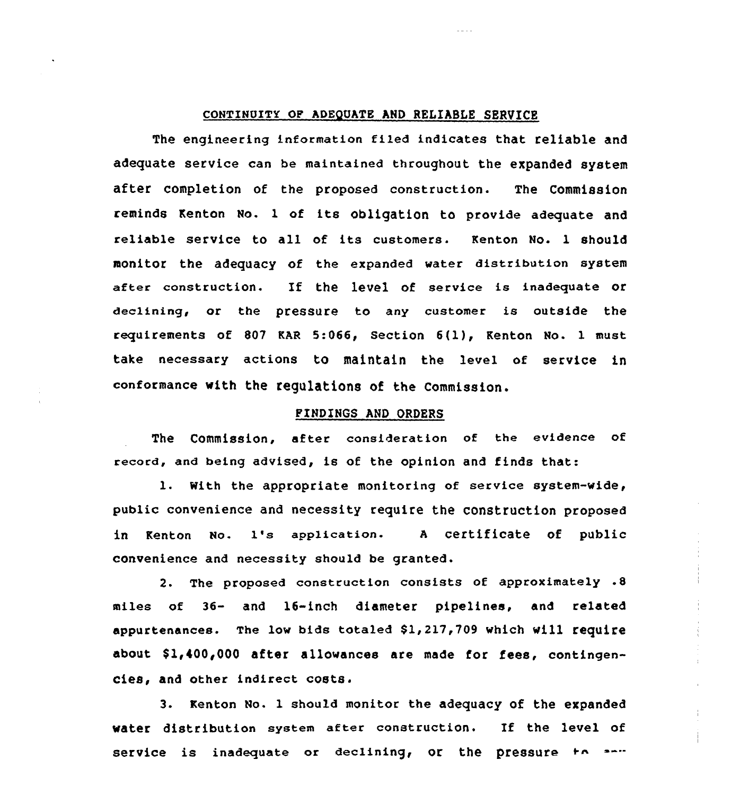### CONTINUITY OF ADEQUATE AND RELIABLE SERVICE

The engineering information filed indicates that reliable and adequate service can be maintained throughout the expanded system after completion of the proposed construction. The Commission reminds Kenton No. <sup>1</sup> of its obligation to provide adequate and reliable service to all of its customers. Kenton No. 1 should monitor the adequacy of the expanded water distribution system after construction. If the level of service is inadequate or declining, or the pressure to any customer is outside the requirements of <sup>807</sup> KAR 5:066, Section 6(1), Kenton No. 1 must take necessary actions to maintain the level of service in conformance with the regulations of the Commission.

# FINDINGS AND ORDERS

The Commission, after consideration of the evidence of record, and being advised, is of the opinion and finds that:

1. With the appropriate monitoring of service system-wide, public convenience and necessity require the construction proposed in Kenton No. 1's application- <sup>A</sup> certificate of public convenience and necessity should be granted.

2. The proposed construction consists of approximately .8 miles of 36- and 16-inch diameter pipelines, and related appurtenances. The low bids totaled \$1,217,709 which will require about \$1,400,000 after allowances are made for fees, contingencies, and other indirect costs.

3. Kenton No. 1 should monitor the adequacy of the expanded water distribution system after construction. If the level of service is inadequate or declining, or the pressure to and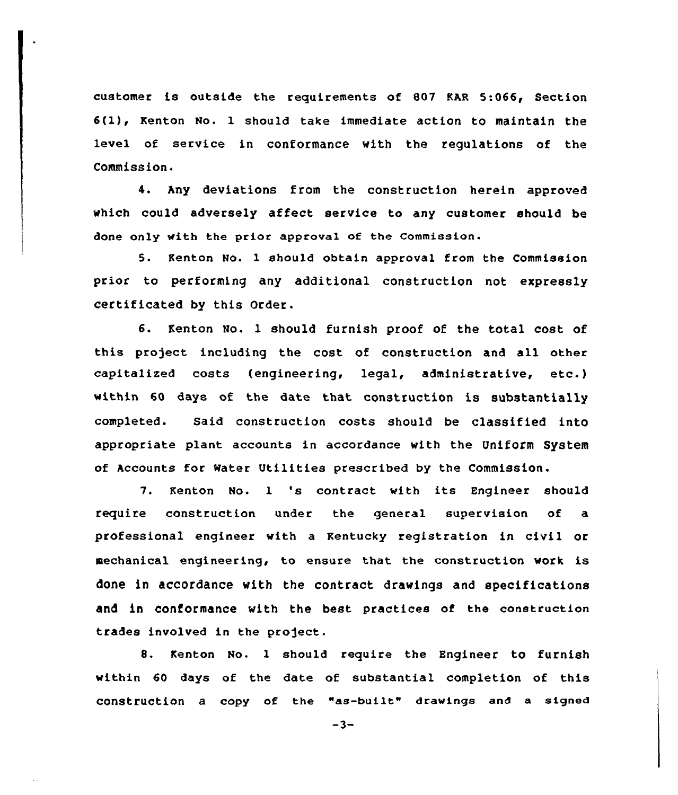customer is outside the requirements of 807 KAR 5:066, Section 6(l), Kenton No. <sup>1</sup> should take immediate action to maintain the level of service in conformance with the regulations of the Commission.

4. Any deviations from the construction herein approved which could adversely affect service to any customer should be done only with the prior approval of the Commission.

5. Kenton No. 1 should obtain approval from the Commission prior to performing any additional construction not expressly certificated by this Order.

6. Kenton No. 1 should furnish proof of the total cost of this project including the cost of construction and all other capitalized costs (engineering, legal, administrative, etc.) within 60 days of the date that construction is substantially completed. Said construction costs should be classified into appropriate plant accounts in accordance with the Uniform System of Accounts for Water Utilities prescribed by the Commission.

7. Kenton No. l 's contract with its Engineer should require construction under the general supervision of a professional engineer with a Kentucky registration in civil or mechanical engineering, to ensure that the construction work is done in accordance with the contract drawings and specifications and in Conformance with the best practices of the construction trades involved in the profect.

8. Kenton No. l should require the Engineer to furnish within 60 days of the date of substantial completion of this construction a copy of the "as-built" drawings and a signed

 $-3-$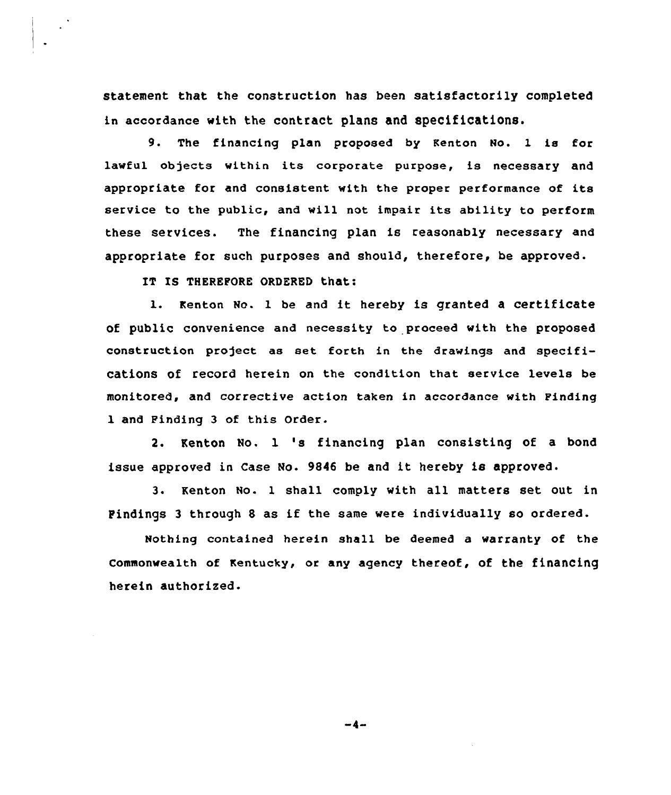statement that the construction has been satisfactorily completed in accordance with the contract plans and specifications.

9. The financing plan proposed by Kenton No. 1 is for lawful objects within its corporate purpose, is necessary and appropriate for and consistent with the proper performance of its service to the public, and will not impair its ability to perform these services. The financing plan is reasonably necessary and appropriate for such purposes and should, therefore, be approved.

IT IS THEREFORE ORDERED that:

1. Kenton No. 1 be and it hereby is granted a certificate of public convenience and necessity to proceed with the proposed construction project as set forth in the drawings and specifications of record herein on the condition that service levels be monitored, and corrective action taken in accordance with Finding 1 and Finding 3 of this Order.

2. Kenton No. 1 's financing plan consisting of <sup>a</sup> bond issue approved in Case Mo. <sup>9846</sup> be and it hereby is approved.

3. Kenton No- l shall comply with all matters set out in Pindings <sup>3</sup> through <sup>8</sup> as if the same were individually so ordered.

Nothing contained herein shall be deemed a warranty of the commonwealth of Kentucky, or any agency thereof, of the financing herein authorized.